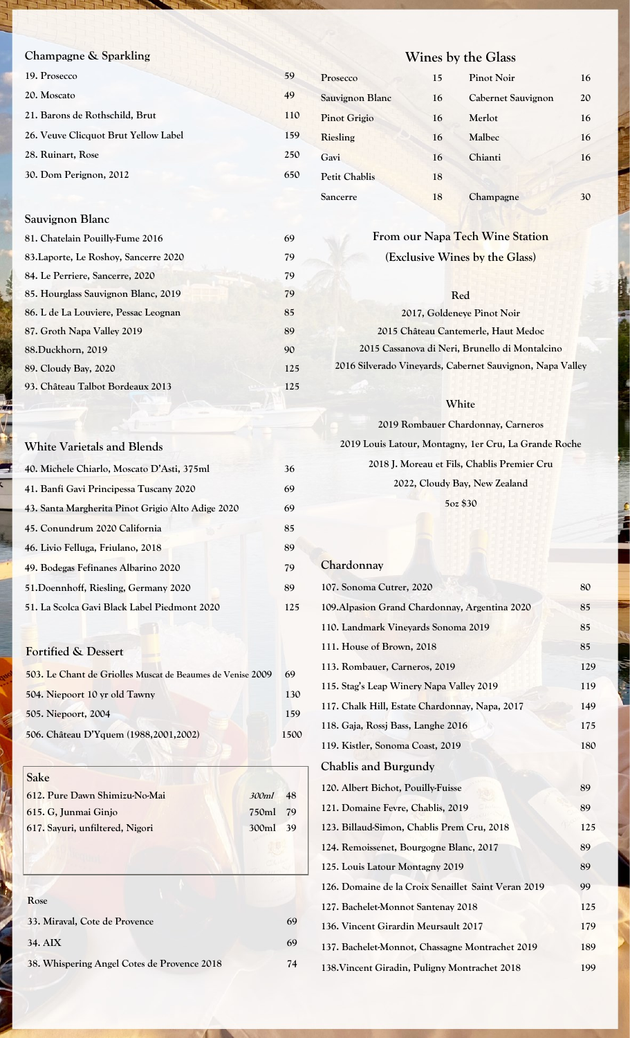# **Champagne & Sparkling**

| 19. Prosecco                         | 59  |
|--------------------------------------|-----|
| 20. Moscato                          | 49  |
| 21. Barons de Rothschild, Brut       | 110 |
| 26. Veuve Clicquot Brut Yellow Label | 159 |
| 28. Ruinart, Rose                    | 250 |
| 30. Dom Perignon, 2012               | 650 |

#### **Sauvignon Blanc**

| 81. Chatelain Pouilly-Fume 2016       | 69  |
|---------------------------------------|-----|
| 83. Laporte, Le Roshoy, Sancerre 2020 | 79  |
| 84. Le Perriere, Sancerre, 2020       | 79  |
| 85. Hourglass Sauvignon Blanc, 2019   | 79  |
| 86. L de La Louviere, Pessac Leognan  | 85  |
| 87. Groth Napa Valley 2019            | 89  |
| 88.Duckhorn, 2019                     | 90  |
| 89. Cloudy Bay, 2020                  | 125 |
| 93. Château Talbot Bordeaux 2013      | 125 |
|                                       |     |

#### **White Varietals and Blends**

| 40. Michele Chiarlo, Moscato D'Asti, 375ml        | 36  |
|---------------------------------------------------|-----|
| 41. Banfi Gavi Principessa Tuscany 2020           | 69  |
| 43. Santa Margherita Pinot Grigio Alto Adige 2020 | 69  |
| 45. Conundrum 2020 California                     | 85  |
| 46. Livio Felluga, Friulano, 2018                 | 89  |
| 49. Bodegas Fefinanes Albarino 2020               | 79  |
| 51. Doennhoff, Riesling, Germany 2020             | 89  |
| 51. La Scolca Gavi Black Label Piedmont 2020      | 125 |

# **Fortified & Dessert**

| 503. Le Chant de Griolles Muscat de Beaumes de Venise 2009 | 69   |
|------------------------------------------------------------|------|
| 504. Niepoort 10 yr old Tawny                              | 130  |
| 505. Niepoort, 2004                                        | 159  |
| 506. Château D'Yquem (1988, 2001, 2002)                    | 1500 |

**Sake**

| 612. Pure Dawn Shimizu-No-Mai   | 300ml    | 48 |
|---------------------------------|----------|----|
| 615. G. Junmai Ginjo            | 750ml 79 |    |
| 617. Sayuri, unfiltered, Nigori | 300ml 39 |    |
|                                 |          |    |

# **Rose 33. Miraval, Cote de Provence 69 34. AIX 69 38. Whispering Angel Cotes de Provence 2018 74**

# **Wines by the Glass**

| Prosecco             | 15 | <b>Pinot Noir</b>  | 16 |
|----------------------|----|--------------------|----|
| Sauvignon Blanc      | 16 | Cabernet Sauvignon | 20 |
| <b>Pinot Grigio</b>  | 16 | Merlot             | 16 |
| Riesling             | 16 | Malbec             | 16 |
| Gavi                 | 16 | Chianti            | 16 |
| <b>Petit Chablis</b> | 18 |                    |    |
| Sancerre             | 18 | Champagne          | 30 |

# **From our Napa Tech Wine Station (Exclusive Wines by the Glass)**

#### **Red**

**2017, Goldeneye Pinot Noir 2015 Château Cantemerle, Haut Medoc** 

**2015 Cassanova di Neri, Brunello di Montalcino 2016 Silverado Vineyards, Cabernet Sauvignon, Napa Valley**

#### **White**

**2019 Rombauer Chardonnay, Carneros 2019 Louis Latour, Montagny, 1er Cru, La Grande Roche 2018 J. Moreau et Fils, Chablis Premier Cru 2022, Cloudy Bay, New Zealand 5oz \$30**

#### **Chardonnay**

| 107. Sonoma Cutrer, 2020                            | 80  |
|-----------------------------------------------------|-----|
| 109. Alpasion Grand Chardonnay, Argentina 2020      | 85  |
| 110. Landmark Vineyards Sonoma 2019                 | 85  |
| 111. House of Brown, 2018                           | 85  |
| 113. Rombauer, Carneros, 2019                       | 129 |
| 115. Stag's Leap Winery Napa Valley 2019            | 119 |
| 117. Chalk Hill, Estate Chardonnay, Napa, 2017      | 149 |
| 118. Gaja, Rossj Bass, Langhe 2016                  | 175 |
| 119. Kistler, Sonoma Coast, 2019                    | 180 |
| Chablis and Burgundy                                |     |
| 120. Albert Bichot, Pouilly-Fuisse                  | 89  |
| 121. Domaine Fevre, Chablis, 2019                   | 89  |
| 123. Billaud-Simon, Chablis Prem Cru, 2018          | 125 |
| 124. Remoissenet, Bourgogne Blanc, 2017             | 89  |
| 125. Louis Latour Montagny 2019                     | 89  |
| 126. Domaine de la Croix Senaillet Saint Veran 2019 | 99  |
| 127. Bachelet-Monnot Santenay 2018                  | 125 |
| 136. Vincent Girardin Meursault 2017                | 179 |
| 137. Bachelet-Monnot, Chassagne Montrachet 2019     | 189 |
| 138. Vincent Giradin, Puligny Montrachet 2018       | 199 |
|                                                     |     |